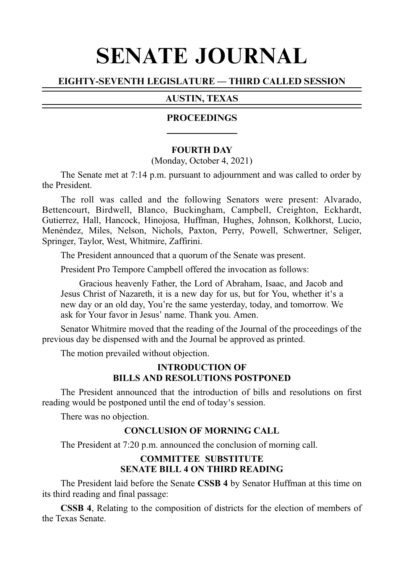# SENATE JOURNAL

# EIGHTY-SEVENTH LEGISLATURE — THIRD CALLED SESSION

## AUSTIN, TEXAS

## **PROCEEDINGS**

## **FOURTH DAY**

(Monday, October 4, 2021)

The Senate met at 7:14 p.m. pursuant to adjournment and was called to order by the President.

The roll was called and the following Senators were present: Alvarado, Bettencourt, Birdwell, Blanco, Buckingham, Campbell, Creighton, Eckhardt, Gutierrez, Hall, Hancock, Hinojosa, Huffman, Hughes, Johnson, Kolkhorst, Lucio, Menéndez, Miles, Nelson, Nichols, Paxton, Perry, Powell, Schwertner, Seliger, Springer, Taylor, West, Whitmire, Zaffirini.

The President announced that a quorum of the Senate was present.

President Pro Tempore Campbell offered the invocation as follows:

Gracious heavenly Father, the Lord of Abraham, Isaac, and Jacob and Jesus Christ of Nazareth, it is a new day for us, but for You, whether it's a new day or an old day, You're the same yesterday, today, and tomorrow. We ask for Your favor in Jesus' name. Thank you. Amen.

Senator Whitmire moved that the reading of the Journal of the proceedings of the previous day be dispensed with and the Journal be approved as printed.

The motion prevailed without objection.

## **INTRODUCTION OF BILLS AND RESOLUTIONS POSTPONED**

The President announced that the introduction of bills and resolutions on first reading would be postponed until the end of today's session.

There was no objection.

## **CONCLUSION OF MORNING CALL**

The President at 7:20 p.m. announced the conclusion of morning call.

# **COMMITTEE SUBSTITUTE SENATE BILL 4 ON THIRD READING**

The President laid before the Senate **CSSBi4** by Senator Huffman at this time on its third reading and final passage:

**CSSB 4**, Relating to the composition of districts for the election of members of the Texas Senate.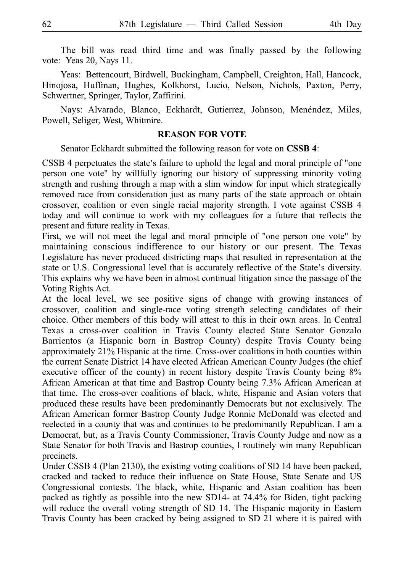The bill was read third time and was finally passed by the following vote: Yeas 20, Nays 11.

Yeas: Bettencourt, Birdwell, Buckingham, Campbell, Creighton, Hall, Hancock, Hinojosa, Huffman, Hughes, Kolkhorst, Lucio, Nelson, Nichols, Paxton, Perry, Schwertner, Springer, Taylor, Zaffirini.

Nays: Alvarado, Blanco, Eckhardt, Gutierrez, Johnson, Menéndez, Miles, Powell, Seliger, West, Whitmire.

## **REASON FOR VOTE**

Senator Eckhardt submitted the following reason for vote on **CSSB 4**:

CSSB 4 perpetuates the state's failure to uphold the legal and moral principle of "one person one vote" by willfully ignoring our history of suppressing minority voting strength and rushing through a map with a slim window for input which strategically removed race from consideration just as many parts of the state approach or obtain crossover, coalition or even single racial majority strength. I vote against CSSB 4 today and will continue to work with my colleagues for a future that reflects the present and future reality in Texas.

First, we will not meet the legal and moral principle of "one person one vote" by maintaining conscious indifference to our history or our present. The Texas Legislature has never produced districting maps that resulted in representation at the state or U.S. Congressional level that is accurately reflective of the State's diversity. This explains why we have been in almost continual litigation since the passage of the Voting Rights Act.

At the local level, we see positive signs of change with growing instances of crossover, coalition and single-race voting strength selecting candidates of their choice. Other members of this body will attest to this in their own areas. In Central Texas a cross-over coalition in Travis County elected State Senator Gonzalo Barrientos (a Hispanic born in Bastrop County) despite Travis County being approximately 21% Hispanic at the time. Cross-over coalitions in both counties within the current Senate District 14 have elected African American County Judges (the chief executive officer of the county) in recent history despite Travis County being 8% African American at that time and Bastrop County being 7.3% African American at that time. The cross-over coalitions of black, white, Hispanic and Asian voters that produced these results have been predominantly Democrats but not exclusively. The African American former Bastrop County Judge Ronnie McDonald was elected and reelected in a county that was and continues to be predominantly Republican. I am a Democrat, but, as a Travis County Commissioner, Travis County Judge and now as a State Senator for both Travis and Bastrop counties, I routinely win many Republican precincts.

Under CSSB 4 (Plan 2130), the existing voting coalitions of SD 14 have been packed, cracked and tacked to reduce their influence on State House, State Senate and US Congressional contests. The black, white, Hispanic and Asian coalition has been packed as tightly as possible into the new SD14- at 74.4% for Biden, tight packing will reduce the overall voting strength of SD 14. The Hispanic majority in Eastern Travis County has been cracked by being assigned to SD 21 where it is paired with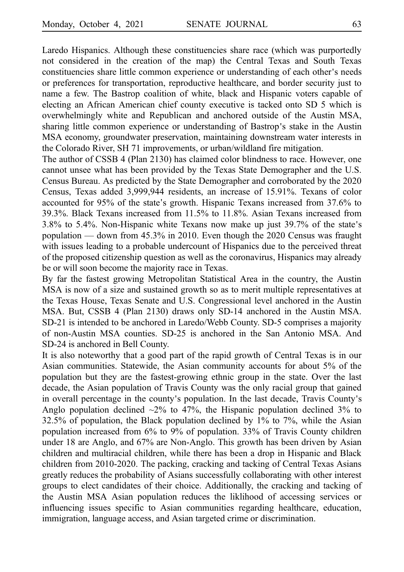Laredo Hispanics. Although these constituencies share race (which was purportedly not considered in the creation of the map) the Central Texas and South Texas constituencies share little common experience or understanding of each other's needs or preferences for transportation, reproductive healthcare, and border security just to name a few. The Bastrop coalition of white, black and Hispanic voters capable of electing an African American chief county executive is tacked onto SD 5 which is overwhelmingly white and Republican and anchored outside of the Austin MSA, sharing little common experience or understanding of Bastrop's stake in the Austin MSA economy, groundwater preservation, maintaining downstream water interests in the Colorado River, SH 71 improvements, or urban/wildland fire mitigation.

The author of CSSB 4 (Plan 2130) has claimed color blindness to race. However, one cannot unsee what has been provided by the Texas State Demographer and the U.S. Census Bureau. As predicted by the State Demographer and corroborated by the 2020 Census, Texas added 3,999,944 residents, an increase of 15.91%. Texans of color accounted for 95% of the state's growth. Hispanic Texans increased from 37.6% to 39.3%. Black Texans increased from 11.5% to 11.8%. Asian Texans increased from 3.8% to 5.4%. Non-Hispanic white Texans now make up just 39.7% of the state's population — down from 45.3% in 2010. Even though the 2020 Census was fraught with issues leading to a probable undercount of Hispanics due to the perceived threat of the proposed citizenship question as well as the coronavirus, Hispanics may already be or will soon become the majority race in Texas.

By far the fastest growing Metropolitan Statistical Area in the country, the Austin MSA is now of a size and sustained growth so as to merit multiple representatives at the Texas House, Texas Senate and U.S. Congressional level anchored in the Austin MSA. But, CSSB 4 (Plan 2130) draws only SD-14 anchored in the Austin MSA. SD-21 is intended to be anchored in Laredo/Webb County. SD-5 comprises a majority of non-Austin MSA counties. SD-25 is anchored in the San Antonio MSA. And SD-24 is anchored in Bell County.

It is also noteworthy that a good part of the rapid growth of Central Texas is in our Asian communities. Statewide, the Asian community accounts for about 5% of the population but they are the fastest-growing ethnic group in the state. Over the last decade, the Asian population of Travis County was the only racial group that gained in overall percentage in the county's population. In the last decade, Travis County's Anglo population declined  $\sim$ 2% to 47%, the Hispanic population declined 3% to 32.5% of population, the Black population declined by 1% to 7%, while the Asian population increased from 6% to 9% of population. 33% of Travis County children under 18 are Anglo, and 67% are Non-Anglo. This growth has been driven by Asian children and multiracial children, while there has been a drop in Hispanic and Black children from 2010-2020. The packing, cracking and tacking of Central Texas Asians greatly reduces the probability of Asians successfully collaborating with other interest groups to elect candidates of their choice. Additionally, the cracking and tacking of the Austin MSA Asian population reduces the liklihood of accessing services or influencing issues specific to Asian communities regarding healthcare, education, immigration, language access, and Asian targeted crime or discrimination.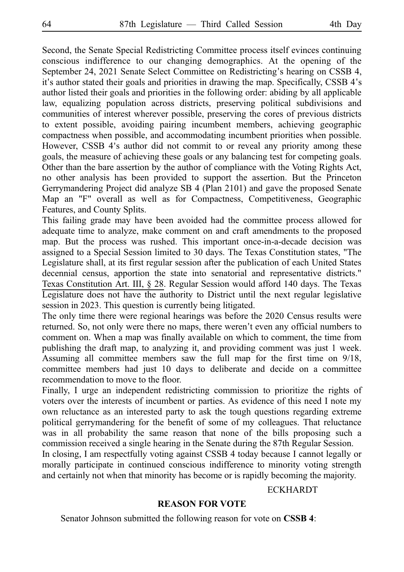Second, the Senate Special Redistricting Committee process itself evinces continuing conscious indifference to our changing demographics. At the opening of the September 24, 2021 Senate Select Committee on Redistricting's hearing on CSSB 4, it's author stated their goals and priorities in drawing the map. Specifically, CSSB 4's author listed their goals and priorities in the following order: abiding by all applicable law, equalizing population across districts, preserving political subdivisions and communities of interest wherever possible, preserving the cores of previous districts to extent possible, avoiding pairing incumbent members, achieving geographic compactness when possible, and accommodating incumbent priorities when possible. However, CSSB 4's author did not commit to or reveal any priority among these goals, the measure of achieving these goals or any balancing test for competing goals. Other than the bare assertion by the author of compliance with the Voting Rights Act, no other analysis has been provided to support the assertion. But the Princeton Gerrymandering Project did analyze SB 4 (Plan 2101) and gave the proposed Senate Map an "F" overall as well as for Compactness, Competitiveness, Geographic Features, and County Splits.

This failing grade may have been avoided had the committee process allowed for adequate time to analyze, make comment on and craft amendments to the proposed map. But the process was rushed. This important once-in-a-decade decision was assigned to a Special Session limited to 30 days. The Texas Constitution states, "The Legislature shall, at its first regular session after the publication of each United States decennial census, apportion the state into senatorial and representative districts." Texas Constitution Art. III, § 28. Regular Session would afford 140 days. The Texas Legislature does not have the authority to District until the next regular legislative session in 2023. This question is currently being litigated.

The only time there were regional hearings was before the 2020 Census results were returned. So, not only were there no maps, there weren't even any official numbers to comment on. When a map was finally available on which to comment, the time from publishing the draft map, to analyzing it, and providing comment was just 1 week. Assuming all committee members saw the full map for the first time on 9/18, committee members had just 10 days to deliberate and decide on a committee recommendation to move to the floor.

Finally, I urge an independent redistricting commission to prioritize the rights of voters over the interests of incumbent or parties. As evidence of this need I note my own reluctance as an interested party to ask the tough questions regarding extreme political gerrymandering for the benefit of some of my colleagues. That reluctance was in all probability the same reason that none of the bills proposing such a commission received a single hearing in the Senate during the 87th Regular Session.

In closing, I am respectfully voting against CSSB 4 today because I cannot legally or morally participate in continued conscious indifference to minority voting strength and certainly not when that minority has become or is rapidly becoming the majority.

#### ECKHARDT

#### **REASON FOR VOTE**

Senator Johnson submitted the following reason for vote on **CSSB 4**: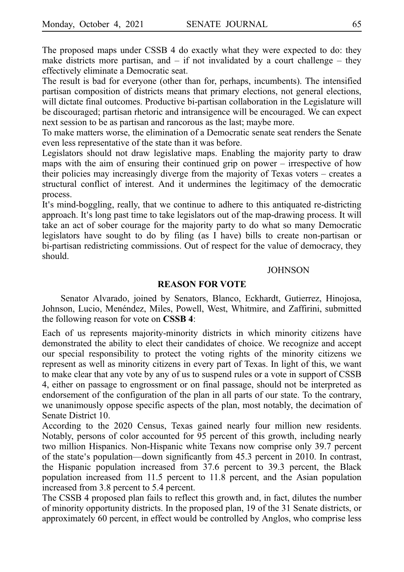The proposed maps under CSSB 4 do exactly what they were expected to do: they make districts more partisan, and  $-$  if not invalidated by a court challenge  $-$  they effectively eliminate a Democratic seat.

The result is bad for everyone (other than for, perhaps, incumbents). The intensified partisan composition of districts means that primary elections, not general elections, will dictate final outcomes. Productive bi-partisan collaboration in the Legislature will be discouraged; partisan rhetoric and intransigence will be encouraged. We can expect next session to be as partisan and rancorous as the last; maybe more.

To make matters worse, the elimination of a Democratic senate seat renders the Senate even less representative of the state than it was before.

Legislators should not draw legislative maps. Enabling the majority party to draw maps with the aim of ensuring their continued grip on power – irrespective of how their policies may increasingly diverge from the majority of Texas voters – creates a structural conflict of interest. And it undermines the legitimacy of the democratic process.

It's mind-boggling, really, that we continue to adhere to this antiquated re-districting approach. It's long past time to take legislators out of the map-drawing process. It will take an act of sober courage for the majority party to do what so many Democratic legislators have sought to do by filing (as I have) bills to create non-partisan or bi-partisan redistricting commissions. Out of respect for the value of democracy, they should.

#### **JOHNSON**

#### **REASON FOR VOTE**

Senator Alvarado, joined by Senators, Blanco, Eckhardt, Gutierrez, Hinojosa, Johnson, Lucio, Menéndez, Miles, Powell, West, Whitmire, and Zaffirini, submitted the following reason for vote on **CSSB 4**:

Each of us represents majority-minority districts in which minority citizens have demonstrated the ability to elect their candidates of choice. We recognize and accept our special responsibility to protect the voting rights of the minority citizens we represent as well as minority citizens in every part of Texas. In light of this, we want to make clear that any vote by any of us to suspend rules or a vote in support of CSSB 4, either on passage to engrossment or on final passage, should not be interpreted as endorsement of the configuration of the plan in all parts of our state. To the contrary, we unanimously oppose specific aspects of the plan, most notably, the decimation of Senate District 10.

According to the 2020 Census, Texas gained nearly four million new residents. Notably, persons of color accounted for 95 percent of this growth, including nearly two million Hispanics. Non-Hispanic white Texans now comprise only 39.7 percent of the state's population—down significantly from 45.3 percent in 2010. In contrast, the Hispanic population increased from 37.6 percent to 39.3 percent, the Black population increased from 11.5 percent to 11.8 percent, and the Asian population increased from 3.8 percent to 5.4 percent.

The CSSB 4 proposed plan fails to reflect this growth and, in fact, dilutes the number of minority opportunity districts. In the proposed plan, 19 of the 31 Senate districts, or approximately 60 percent, in effect would be controlled by Anglos, who comprise less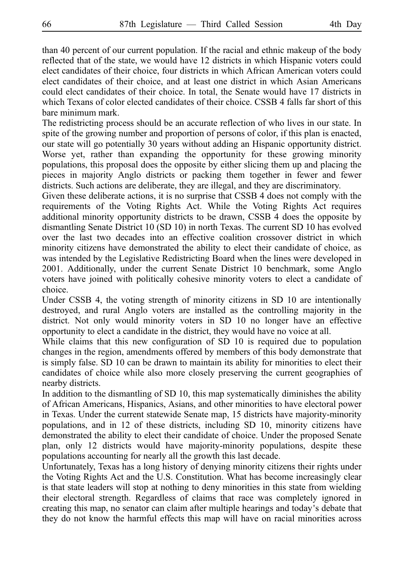than 40 percent of our current population. If the racial and ethnic makeup of the body reflected that of the state, we would have 12 districts in which Hispanic voters could elect candidates of their choice, four districts in which African American voters could elect candidates of their choice, and at least one district in which Asian Americans could elect candidates of their choice. In total, the Senate would have 17 districts in which Texans of color elected candidates of their choice. CSSB 4 falls far short of this bare minimum mark.

The redistricting process should be an accurate reflection of who lives in our state. In spite of the growing number and proportion of persons of color, if this plan is enacted, our state will go potentially 30 years without adding an Hispanic opportunity district. Worse yet, rather than expanding the opportunity for these growing minority populations, this proposal does the opposite by either slicing them up and placing the pieces in majority Anglo districts or packing them together in fewer and fewer districts. Such actions are deliberate, they are illegal, and they are discriminatory.

Given these deliberate actions, it is no surprise that CSSB 4 does not comply with the requirements of the Voting Rights Act. While the Voting Rights Act requires additional minority opportunity districts to be drawn, CSSB 4 does the opposite by dismantling Senate District 10 (SD 10) in north Texas. The current SD 10 has evolved over the last two decades into an effective coalition crossover district in which minority citizens have demonstrated the ability to elect their candidate of choice, as was intended by the Legislative Redistricting Board when the lines were developed in 2001. Additionally, under the current Senate District 10 benchmark, some Anglo voters have joined with politically cohesive minority voters to elect a candidate of choice.

Under CSSB 4, the voting strength of minority citizens in SD 10 are intentionally destroyed, and rural Anglo voters are installed as the controlling majority in the district. Not only would minority voters in SD 10 no longer have an effective opportunity to elect a candidate in the district, they would have no voice at all.

While claims that this new configuration of SD 10 is required due to population changes in the region, amendments offered by members of this body demonstrate that is simply false. SD 10 can be drawn to maintain its ability for minorities to elect their candidates of choice while also more closely preserving the current geographies of nearby districts.

In addition to the dismantling of SD 10, this map systematically diminishes the ability of African Americans, Hispanics, Asians, and other minorities to have electoral power in Texas. Under the current statewide Senate map, 15 districts have majority-minority populations, and in 12 of these districts, including SD 10, minority citizens have demonstrated the ability to elect their candidate of choice. Under the proposed Senate plan, only 12 districts would have majority-minority populations, despite these populations accounting for nearly all the growth this last decade.

Unfortunately, Texas has a long history of denying minority citizens their rights under the Voting Rights Act and the U.S. Constitution. What has become increasingly clear is that state leaders will stop at nothing to deny minorities in this state from wielding their electoral strength. Regardless of claims that race was completely ignored in creating this map, no senator can claim after multiple hearings and today's debate that they do not know the harmful effects this map will have on racial minorities across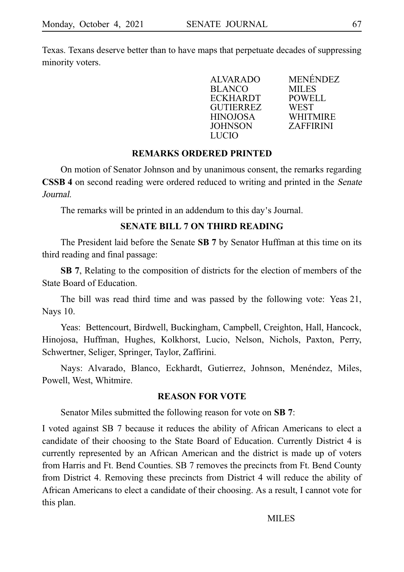Texas. Texans deserve better than to have maps that perpetuate decades of suppressing minority voters.

| <b>MENÉNDEZ</b>  |
|------------------|
| <b>MILES</b>     |
| <b>POWELL</b>    |
| WEST             |
| <b>WHITMIRE</b>  |
| <b>ZAFFIRINI</b> |
|                  |
|                  |

## **REMARKS ORDERED PRINTED**

On motion of Senator Johnson and by unanimous consent, the remarks regarding **CSSB 4** on second reading were ordered reduced to writing and printed in the *Senate* Journal.

The remarks will be printed in an addendum to this day's Journal.

## **SENATE BILL 7 ON THIRD READING**

The President laid before the Senate SB 7 by Senator Huffman at this time on its third reading and final passage:

**SB 7**, Relating to the composition of districts for the election of members of the State Board of Education.

The bill was read third time and was passed by the following vote: Yeas 21, Nays 10.

Yeas: Bettencourt, Birdwell, Buckingham, Campbell, Creighton, Hall, Hancock, Hinojosa, Huffman, Hughes, Kolkhorst, Lucio, Nelson, Nichols, Paxton, Perry, Schwertner, Seliger, Springer, Taylor, Zaffirini.

Nays: Alvarado, Blanco, Eckhardt, Gutierrez, Johnson, Menéndez, Miles, Powell, West, Whitmire.

## **REASON FOR VOTE**

Senator Miles submitted the following reason for vote on **SB** 7:

I voted against SB 7 because it reduces the ability of African Americans to elect a candidate of their choosing to the State Board of Education. Currently District 4 is currently represented by an African American and the district is made up of voters from Harris and Ft. Bend Counties. SB 7 removes the precincts from Ft. Bend County from District 4. Removing these precincts from District 4 will reduce the ability of African Americans to elect a candidate of their choosing. As a result, I cannot vote for this plan.

MILES